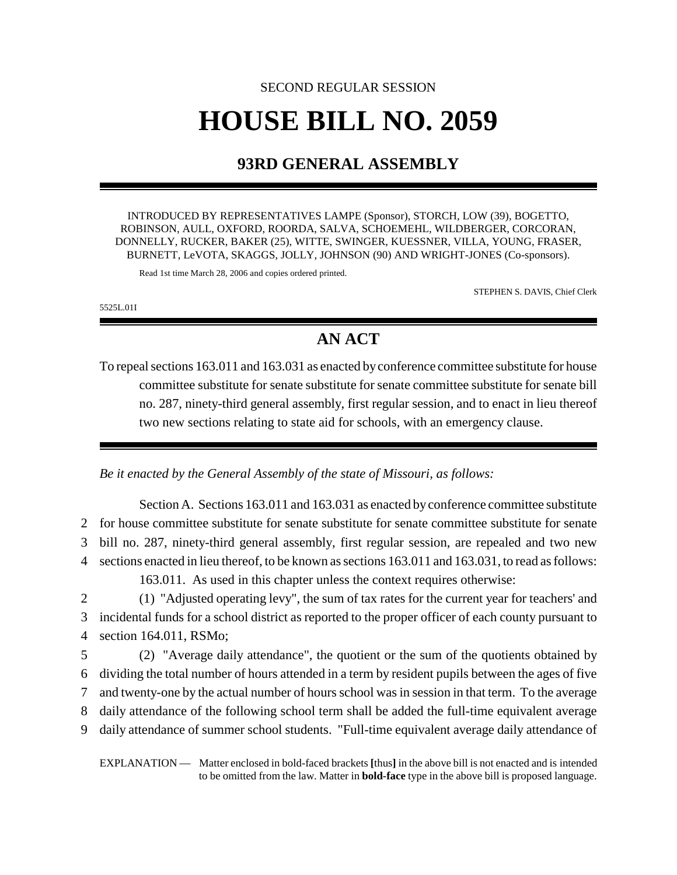# SECOND REGULAR SESSION **HOUSE BILL NO. 2059**

# **93RD GENERAL ASSEMBLY**

INTRODUCED BY REPRESENTATIVES LAMPE (Sponsor), STORCH, LOW (39), BOGETTO, ROBINSON, AULL, OXFORD, ROORDA, SALVA, SCHOEMEHL, WILDBERGER, CORCORAN, DONNELLY, RUCKER, BAKER (25), WITTE, SWINGER, KUESSNER, VILLA, YOUNG, FRASER, BURNETT, LeVOTA, SKAGGS, JOLLY, JOHNSON (90) AND WRIGHT-JONES (Co-sponsors).

Read 1st time March 28, 2006 and copies ordered printed.

STEPHEN S. DAVIS, Chief Clerk

5525L.01I

## **AN ACT**

To repeal sections 163.011 and 163.031 as enacted by conference committee substitute for house committee substitute for senate substitute for senate committee substitute for senate bill no. 287, ninety-third general assembly, first regular session, and to enact in lieu thereof two new sections relating to state aid for schools, with an emergency clause.

*Be it enacted by the General Assembly of the state of Missouri, as follows:*

Section A. Sections 163.011 and 163.031 as enacted by conference committee substitute 2 for house committee substitute for senate substitute for senate committee substitute for senate 3 bill no. 287, ninety-third general assembly, first regular session, are repealed and two new 4 sections enacted in lieu thereof, to be known as sections 163.011 and 163.031, to read as follows: 163.011. As used in this chapter unless the context requires otherwise:

2 (1) "Adjusted operating levy", the sum of tax rates for the current year for teachers' and 3 incidental funds for a school district as reported to the proper officer of each county pursuant to 4 section 164.011, RSMo;

 (2) "Average daily attendance", the quotient or the sum of the quotients obtained by dividing the total number of hours attended in a term by resident pupils between the ages of five and twenty-one by the actual number of hours school was in session in that term. To the average daily attendance of the following school term shall be added the full-time equivalent average daily attendance of summer school students. "Full-time equivalent average daily attendance of

EXPLANATION — Matter enclosed in bold-faced brackets **[**thus**]** in the above bill is not enacted and is intended to be omitted from the law. Matter in **bold-face** type in the above bill is proposed language.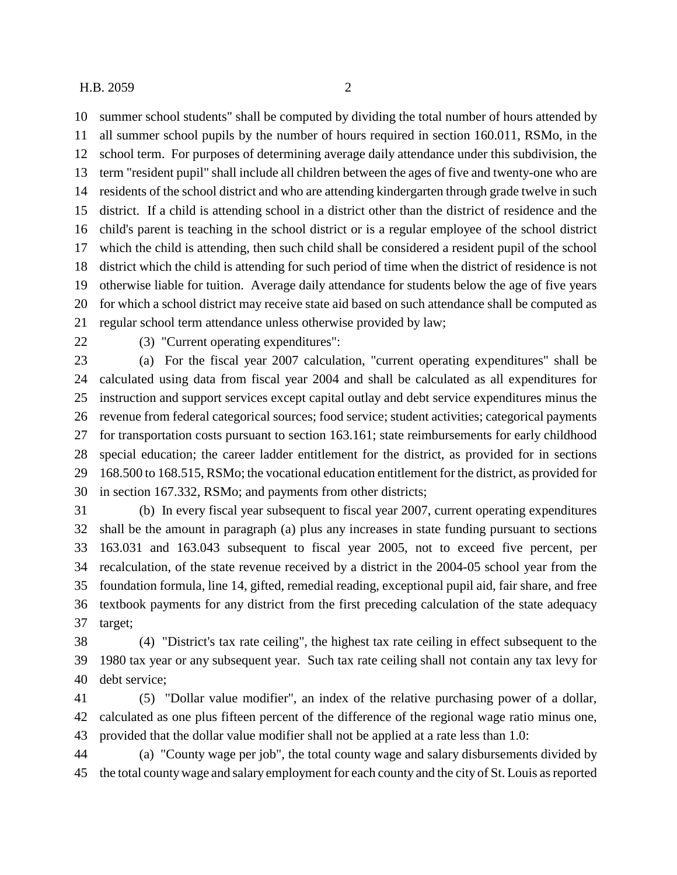summer school students" shall be computed by dividing the total number of hours attended by all summer school pupils by the number of hours required in section 160.011, RSMo, in the school term. For purposes of determining average daily attendance under this subdivision, the term "resident pupil" shall include all children between the ages of five and twenty-one who are residents of the school district and who are attending kindergarten through grade twelve in such district. If a child is attending school in a district other than the district of residence and the child's parent is teaching in the school district or is a regular employee of the school district which the child is attending, then such child shall be considered a resident pupil of the school district which the child is attending for such period of time when the district of residence is not otherwise liable for tuition. Average daily attendance for students below the age of five years for which a school district may receive state aid based on such attendance shall be computed as regular school term attendance unless otherwise provided by law;

(3) "Current operating expenditures":

 (a) For the fiscal year 2007 calculation, "current operating expenditures" shall be calculated using data from fiscal year 2004 and shall be calculated as all expenditures for instruction and support services except capital outlay and debt service expenditures minus the revenue from federal categorical sources; food service; student activities; categorical payments for transportation costs pursuant to section 163.161; state reimbursements for early childhood special education; the career ladder entitlement for the district, as provided for in sections 168.500 to 168.515, RSMo; the vocational education entitlement for the district, as provided for in section 167.332, RSMo; and payments from other districts;

 (b) In every fiscal year subsequent to fiscal year 2007, current operating expenditures shall be the amount in paragraph (a) plus any increases in state funding pursuant to sections 163.031 and 163.043 subsequent to fiscal year 2005, not to exceed five percent, per recalculation, of the state revenue received by a district in the 2004-05 school year from the foundation formula, line 14, gifted, remedial reading, exceptional pupil aid, fair share, and free textbook payments for any district from the first preceding calculation of the state adequacy target;

 (4) "District's tax rate ceiling", the highest tax rate ceiling in effect subsequent to the 1980 tax year or any subsequent year. Such tax rate ceiling shall not contain any tax levy for debt service;

 (5) "Dollar value modifier", an index of the relative purchasing power of a dollar, calculated as one plus fifteen percent of the difference of the regional wage ratio minus one, provided that the dollar value modifier shall not be applied at a rate less than 1.0:

 (a) "County wage per job", the total county wage and salary disbursements divided by the total county wage and salary employment for each county and the city of St. Louis as reported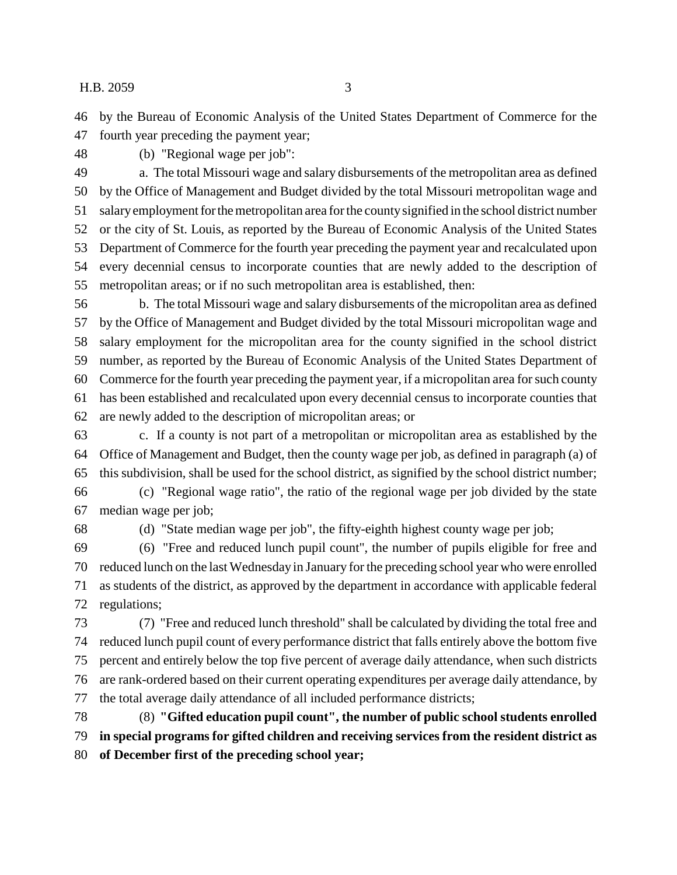by the Bureau of Economic Analysis of the United States Department of Commerce for the

fourth year preceding the payment year;

(b) "Regional wage per job":

 a. The total Missouri wage and salary disbursements of the metropolitan area as defined by the Office of Management and Budget divided by the total Missouri metropolitan wage and salary employment for the metropolitan area for the county signified in the school district number or the city of St. Louis, as reported by the Bureau of Economic Analysis of the United States Department of Commerce for the fourth year preceding the payment year and recalculated upon every decennial census to incorporate counties that are newly added to the description of metropolitan areas; or if no such metropolitan area is established, then:

 b. The total Missouri wage and salary disbursements of the micropolitan area as defined by the Office of Management and Budget divided by the total Missouri micropolitan wage and salary employment for the micropolitan area for the county signified in the school district number, as reported by the Bureau of Economic Analysis of the United States Department of Commerce for the fourth year preceding the payment year, if a micropolitan area for such county has been established and recalculated upon every decennial census to incorporate counties that are newly added to the description of micropolitan areas; or

 c. If a county is not part of a metropolitan or micropolitan area as established by the Office of Management and Budget, then the county wage per job, as defined in paragraph (a) of this subdivision, shall be used for the school district, as signified by the school district number;

 (c) "Regional wage ratio", the ratio of the regional wage per job divided by the state median wage per job;

(d) "State median wage per job", the fifty-eighth highest county wage per job;

 (6) "Free and reduced lunch pupil count", the number of pupils eligible for free and reduced lunch on the last Wednesday in January for the preceding school year who were enrolled as students of the district, as approved by the department in accordance with applicable federal regulations;

 (7) "Free and reduced lunch threshold" shall be calculated by dividing the total free and reduced lunch pupil count of every performance district that falls entirely above the bottom five percent and entirely below the top five percent of average daily attendance, when such districts are rank-ordered based on their current operating expenditures per average daily attendance, by the total average daily attendance of all included performance districts;

 (8) **"Gifted education pupil count", the number of public school students enrolled in special programs for gifted children and receiving services from the resident district as of December first of the preceding school year;**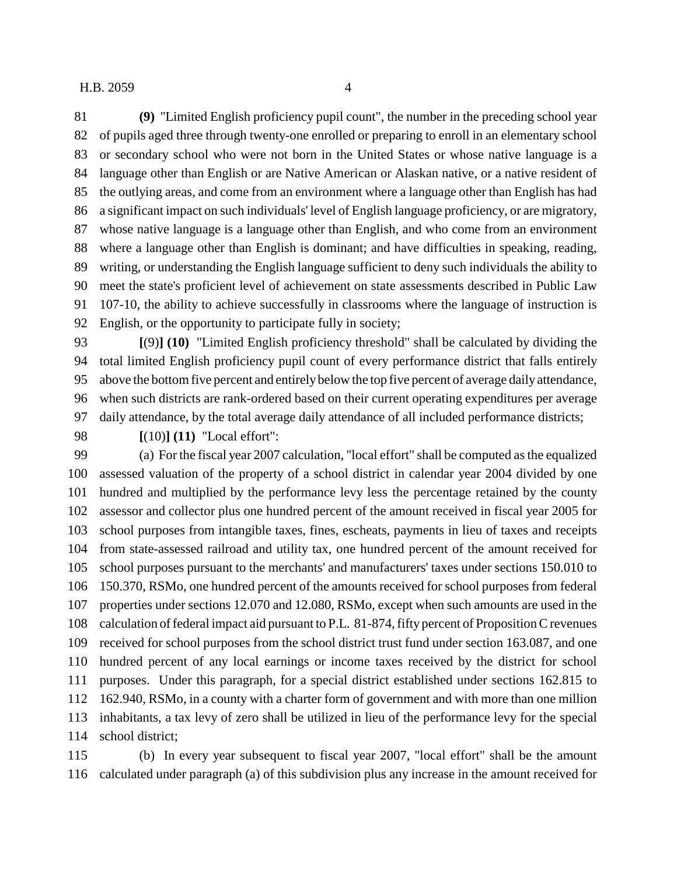**(9)** "Limited English proficiency pupil count", the number in the preceding school year of pupils aged three through twenty-one enrolled or preparing to enroll in an elementary school or secondary school who were not born in the United States or whose native language is a language other than English or are Native American or Alaskan native, or a native resident of the outlying areas, and come from an environment where a language other than English has had a significant impact on such individuals' level of English language proficiency, or are migratory, whose native language is a language other than English, and who come from an environment where a language other than English is dominant; and have difficulties in speaking, reading, writing, or understanding the English language sufficient to deny such individuals the ability to meet the state's proficient level of achievement on state assessments described in Public Law 107-10, the ability to achieve successfully in classrooms where the language of instruction is 92 English, or the opportunity to participate fully in society;

 **[**(9)**] (10)** "Limited English proficiency threshold" shall be calculated by dividing the total limited English proficiency pupil count of every performance district that falls entirely above the bottom five percent and entirely below the top five percent of average daily attendance, when such districts are rank-ordered based on their current operating expenditures per average daily attendance, by the total average daily attendance of all included performance districts;

**[**(10)**] (11)** "Local effort":

 (a) For the fiscal year 2007 calculation, "local effort" shall be computed as the equalized assessed valuation of the property of a school district in calendar year 2004 divided by one hundred and multiplied by the performance levy less the percentage retained by the county assessor and collector plus one hundred percent of the amount received in fiscal year 2005 for school purposes from intangible taxes, fines, escheats, payments in lieu of taxes and receipts from state-assessed railroad and utility tax, one hundred percent of the amount received for school purposes pursuant to the merchants' and manufacturers' taxes under sections 150.010 to 150.370, RSMo, one hundred percent of the amounts received for school purposes from federal properties under sections 12.070 and 12.080, RSMo, except when such amounts are used in the calculation of federal impact aid pursuant to P.L. 81-874, fifty percent of Proposition C revenues received for school purposes from the school district trust fund under section 163.087, and one hundred percent of any local earnings or income taxes received by the district for school purposes. Under this paragraph, for a special district established under sections 162.815 to 162.940, RSMo, in a county with a charter form of government and with more than one million inhabitants, a tax levy of zero shall be utilized in lieu of the performance levy for the special school district;

 (b) In every year subsequent to fiscal year 2007, "local effort" shall be the amount calculated under paragraph (a) of this subdivision plus any increase in the amount received for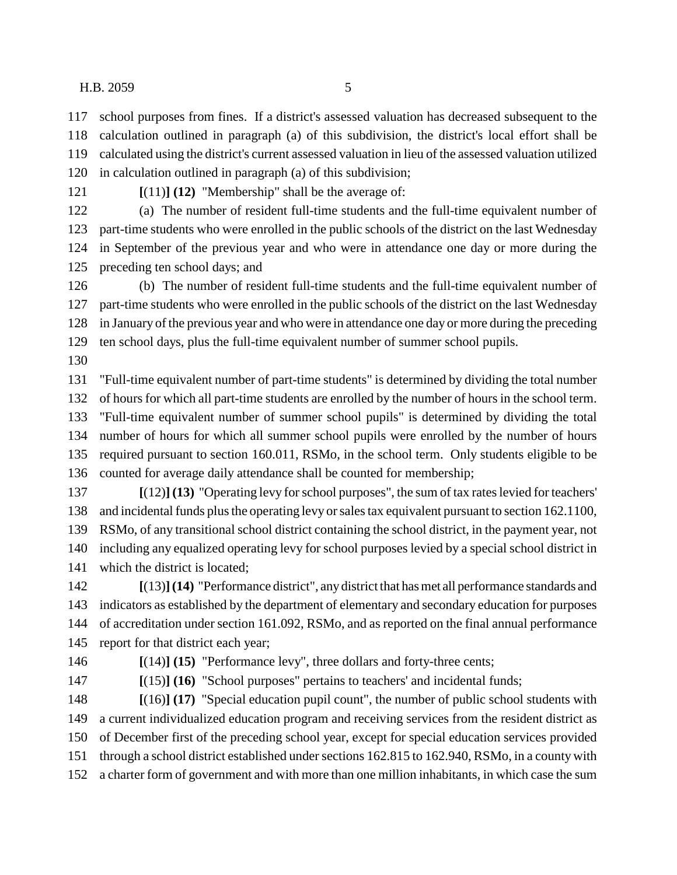school purposes from fines. If a district's assessed valuation has decreased subsequent to the

calculation outlined in paragraph (a) of this subdivision, the district's local effort shall be

calculated using the district's current assessed valuation in lieu of the assessed valuation utilized

- in calculation outlined in paragraph (a) of this subdivision;
- 

**[**(11)**] (12)** "Membership" shall be the average of:

 (a) The number of resident full-time students and the full-time equivalent number of part-time students who were enrolled in the public schools of the district on the last Wednesday in September of the previous year and who were in attendance one day or more during the preceding ten school days; and

 (b) The number of resident full-time students and the full-time equivalent number of part-time students who were enrolled in the public schools of the district on the last Wednesday in January of the previous year and who were in attendance one day or more during the preceding ten school days, plus the full-time equivalent number of summer school pupils.

 "Full-time equivalent number of part-time students" is determined by dividing the total number of hours for which all part-time students are enrolled by the number of hours in the school term.

"Full-time equivalent number of summer school pupils" is determined by dividing the total

 number of hours for which all summer school pupils were enrolled by the number of hours required pursuant to section 160.011, RSMo, in the school term. Only students eligible to be

 **[**(12)**] (13)** "Operating levy for school purposes", the sum of tax rates levied for teachers' and incidental funds plus the operating levy or sales tax equivalent pursuant to section 162.1100, RSMo, of any transitional school district containing the school district, in the payment year, not including any equalized operating levy for school purposes levied by a special school district in which the district is located;

 **[**(13)**](14)** "Performance district", any district that has met all performance standards and indicators as established by the department of elementary and secondary education for purposes of accreditation under section 161.092, RSMo, and as reported on the final annual performance report for that district each year;

**[**(14)**] (15)** "Performance levy", three dollars and forty-three cents;

**[**(15)**] (16)** "School purposes" pertains to teachers' and incidental funds;

 **[**(16)**] (17)** "Special education pupil count", the number of public school students with a current individualized education program and receiving services from the resident district as of December first of the preceding school year, except for special education services provided through a school district established under sections 162.815 to 162.940, RSMo, in a county with a charter form of government and with more than one million inhabitants, in which case the sum

counted for average daily attendance shall be counted for membership;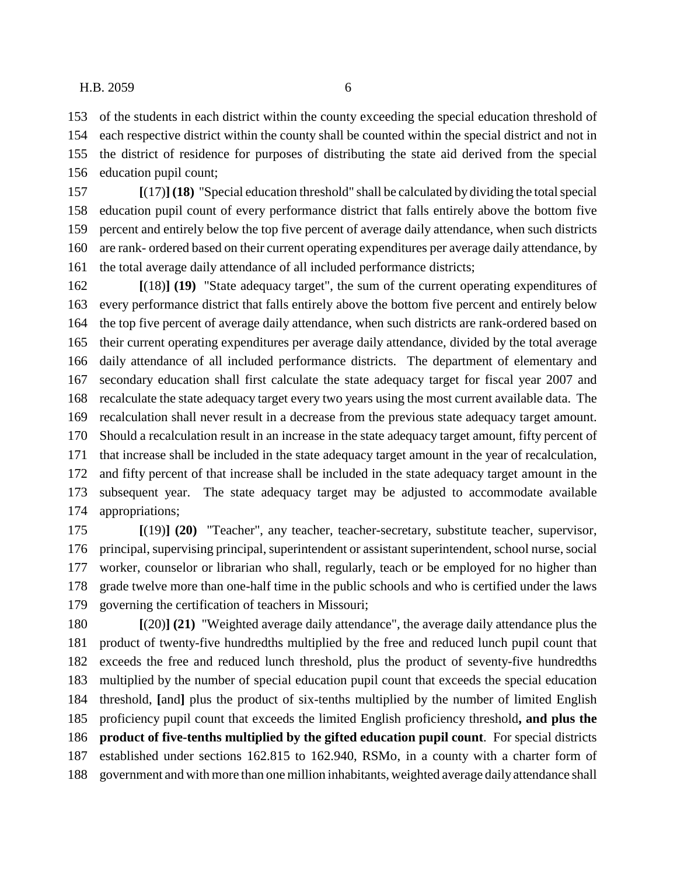of the students in each district within the county exceeding the special education threshold of each respective district within the county shall be counted within the special district and not in the district of residence for purposes of distributing the state aid derived from the special education pupil count;

 **[**(17)**] (18)** "Special education threshold" shall be calculated by dividing the total special education pupil count of every performance district that falls entirely above the bottom five percent and entirely below the top five percent of average daily attendance, when such districts are rank- ordered based on their current operating expenditures per average daily attendance, by the total average daily attendance of all included performance districts;

 **[**(18)**] (19)** "State adequacy target", the sum of the current operating expenditures of every performance district that falls entirely above the bottom five percent and entirely below the top five percent of average daily attendance, when such districts are rank-ordered based on their current operating expenditures per average daily attendance, divided by the total average daily attendance of all included performance districts. The department of elementary and secondary education shall first calculate the state adequacy target for fiscal year 2007 and recalculate the state adequacy target every two years using the most current available data. The recalculation shall never result in a decrease from the previous state adequacy target amount. Should a recalculation result in an increase in the state adequacy target amount, fifty percent of that increase shall be included in the state adequacy target amount in the year of recalculation, and fifty percent of that increase shall be included in the state adequacy target amount in the subsequent year. The state adequacy target may be adjusted to accommodate available appropriations;

 **[**(19)**] (20)** "Teacher", any teacher, teacher-secretary, substitute teacher, supervisor, principal, supervising principal, superintendent or assistant superintendent, school nurse, social worker, counselor or librarian who shall, regularly, teach or be employed for no higher than grade twelve more than one-half time in the public schools and who is certified under the laws governing the certification of teachers in Missouri;

 **[**(20)**] (21)** "Weighted average daily attendance", the average daily attendance plus the product of twenty-five hundredths multiplied by the free and reduced lunch pupil count that exceeds the free and reduced lunch threshold, plus the product of seventy-five hundredths multiplied by the number of special education pupil count that exceeds the special education threshold, **[**and**]** plus the product of six-tenths multiplied by the number of limited English proficiency pupil count that exceeds the limited English proficiency threshold**, and plus the product of five-tenths multiplied by the gifted education pupil count**. For special districts established under sections 162.815 to 162.940, RSMo, in a county with a charter form of government and with more than one million inhabitants, weighted average daily attendance shall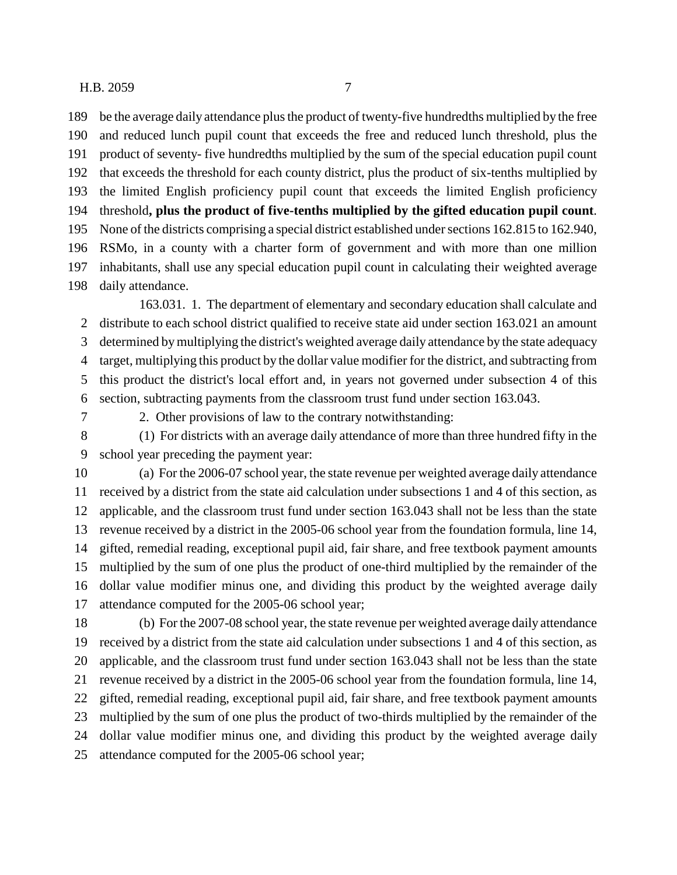be the average daily attendance plus the product of twenty-five hundredths multiplied by the free and reduced lunch pupil count that exceeds the free and reduced lunch threshold, plus the product of seventy- five hundredths multiplied by the sum of the special education pupil count that exceeds the threshold for each county district, plus the product of six-tenths multiplied by the limited English proficiency pupil count that exceeds the limited English proficiency threshold**, plus the product of five-tenths multiplied by the gifted education pupil count**. None of the districts comprising a special district established under sections 162.815 to 162.940, RSMo, in a county with a charter form of government and with more than one million inhabitants, shall use any special education pupil count in calculating their weighted average

 daily attendance. 163.031. 1. The department of elementary and secondary education shall calculate and distribute to each school district qualified to receive state aid under section 163.021 an amount determined by multiplying the district's weighted average daily attendance by the state adequacy target, multiplying this product by the dollar value modifier for the district, and subtracting from

 this product the district's local effort and, in years not governed under subsection 4 of this section, subtracting payments from the classroom trust fund under section 163.043.

2. Other provisions of law to the contrary notwithstanding:

 (1) For districts with an average daily attendance of more than three hundred fifty in the school year preceding the payment year:

 (a) For the 2006-07 school year, the state revenue per weighted average daily attendance received by a district from the state aid calculation under subsections 1 and 4 of this section, as applicable, and the classroom trust fund under section 163.043 shall not be less than the state revenue received by a district in the 2005-06 school year from the foundation formula, line 14, gifted, remedial reading, exceptional pupil aid, fair share, and free textbook payment amounts multiplied by the sum of one plus the product of one-third multiplied by the remainder of the dollar value modifier minus one, and dividing this product by the weighted average daily attendance computed for the 2005-06 school year;

 (b) For the 2007-08 school year, the state revenue per weighted average daily attendance received by a district from the state aid calculation under subsections 1 and 4 of this section, as applicable, and the classroom trust fund under section 163.043 shall not be less than the state revenue received by a district in the 2005-06 school year from the foundation formula, line 14, gifted, remedial reading, exceptional pupil aid, fair share, and free textbook payment amounts multiplied by the sum of one plus the product of two-thirds multiplied by the remainder of the dollar value modifier minus one, and dividing this product by the weighted average daily attendance computed for the 2005-06 school year;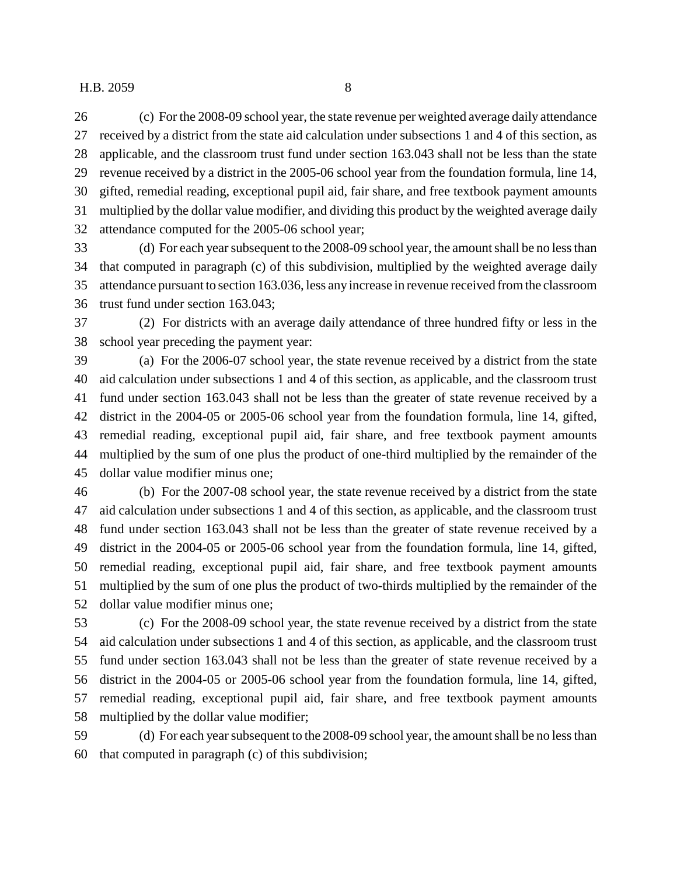(c) For the 2008-09 school year, the state revenue per weighted average daily attendance received by a district from the state aid calculation under subsections 1 and 4 of this section, as applicable, and the classroom trust fund under section 163.043 shall not be less than the state revenue received by a district in the 2005-06 school year from the foundation formula, line 14, gifted, remedial reading, exceptional pupil aid, fair share, and free textbook payment amounts multiplied by the dollar value modifier, and dividing this product by the weighted average daily attendance computed for the 2005-06 school year;

 (d) For each year subsequent to the 2008-09 school year, the amount shall be no less than that computed in paragraph (c) of this subdivision, multiplied by the weighted average daily attendance pursuant to section 163.036, less any increase in revenue received from the classroom trust fund under section 163.043;

 (2) For districts with an average daily attendance of three hundred fifty or less in the school year preceding the payment year:

 (a) For the 2006-07 school year, the state revenue received by a district from the state aid calculation under subsections 1 and 4 of this section, as applicable, and the classroom trust fund under section 163.043 shall not be less than the greater of state revenue received by a district in the 2004-05 or 2005-06 school year from the foundation formula, line 14, gifted, remedial reading, exceptional pupil aid, fair share, and free textbook payment amounts multiplied by the sum of one plus the product of one-third multiplied by the remainder of the dollar value modifier minus one;

 (b) For the 2007-08 school year, the state revenue received by a district from the state aid calculation under subsections 1 and 4 of this section, as applicable, and the classroom trust fund under section 163.043 shall not be less than the greater of state revenue received by a district in the 2004-05 or 2005-06 school year from the foundation formula, line 14, gifted, remedial reading, exceptional pupil aid, fair share, and free textbook payment amounts multiplied by the sum of one plus the product of two-thirds multiplied by the remainder of the dollar value modifier minus one;

 (c) For the 2008-09 school year, the state revenue received by a district from the state aid calculation under subsections 1 and 4 of this section, as applicable, and the classroom trust fund under section 163.043 shall not be less than the greater of state revenue received by a district in the 2004-05 or 2005-06 school year from the foundation formula, line 14, gifted, remedial reading, exceptional pupil aid, fair share, and free textbook payment amounts multiplied by the dollar value modifier;

 (d) For each year subsequent to the 2008-09 school year, the amount shall be no less than that computed in paragraph (c) of this subdivision;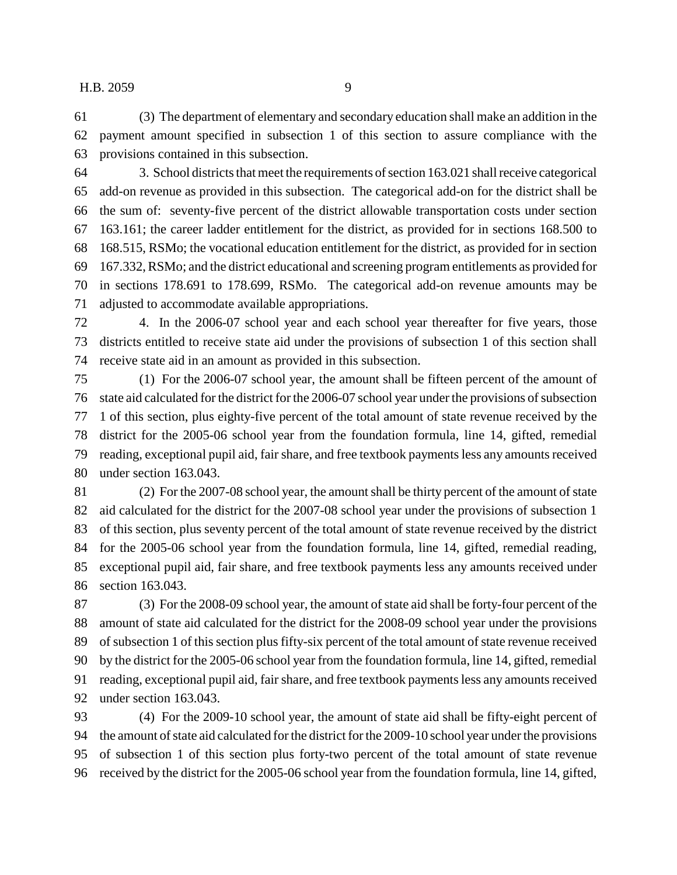(3) The department of elementary and secondary education shall make an addition in the payment amount specified in subsection 1 of this section to assure compliance with the provisions contained in this subsection.

 3. School districts that meet the requirements of section 163.021 shall receive categorical add-on revenue as provided in this subsection. The categorical add-on for the district shall be the sum of: seventy-five percent of the district allowable transportation costs under section 163.161; the career ladder entitlement for the district, as provided for in sections 168.500 to 168.515, RSMo; the vocational education entitlement for the district, as provided for in section 167.332, RSMo; and the district educational and screening program entitlements as provided for in sections 178.691 to 178.699, RSMo. The categorical add-on revenue amounts may be adjusted to accommodate available appropriations.

 4. In the 2006-07 school year and each school year thereafter for five years, those districts entitled to receive state aid under the provisions of subsection 1 of this section shall receive state aid in an amount as provided in this subsection.

 (1) For the 2006-07 school year, the amount shall be fifteen percent of the amount of state aid calculated for the district for the 2006-07 school year under the provisions of subsection 1 of this section, plus eighty-five percent of the total amount of state revenue received by the district for the 2005-06 school year from the foundation formula, line 14, gifted, remedial reading, exceptional pupil aid, fair share, and free textbook payments less any amounts received under section 163.043.

 (2) For the 2007-08 school year, the amount shall be thirty percent of the amount of state aid calculated for the district for the 2007-08 school year under the provisions of subsection 1 of this section, plus seventy percent of the total amount of state revenue received by the district for the 2005-06 school year from the foundation formula, line 14, gifted, remedial reading, exceptional pupil aid, fair share, and free textbook payments less any amounts received under section 163.043.

 (3) For the 2008-09 school year, the amount of state aid shall be forty-four percent of the amount of state aid calculated for the district for the 2008-09 school year under the provisions of subsection 1 of this section plus fifty-six percent of the total amount of state revenue received by the district for the 2005-06 school year from the foundation formula, line 14, gifted, remedial reading, exceptional pupil aid, fair share, and free textbook payments less any amounts received under section 163.043.

 (4) For the 2009-10 school year, the amount of state aid shall be fifty-eight percent of the amount of state aid calculated for the district for the 2009-10 school year under the provisions of subsection 1 of this section plus forty-two percent of the total amount of state revenue received by the district for the 2005-06 school year from the foundation formula, line 14, gifted,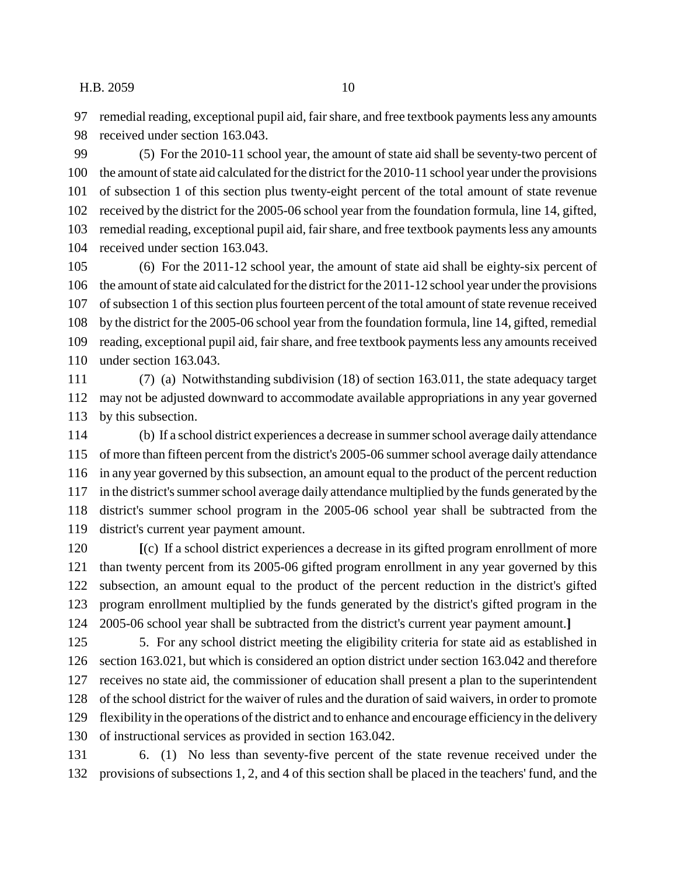remedial reading, exceptional pupil aid, fair share, and free textbook payments less any amounts received under section 163.043.

 (5) For the 2010-11 school year, the amount of state aid shall be seventy-two percent of the amount of state aid calculated for the district for the 2010-11 school year under the provisions of subsection 1 of this section plus twenty-eight percent of the total amount of state revenue received by the district for the 2005-06 school year from the foundation formula, line 14, gifted, remedial reading, exceptional pupil aid, fair share, and free textbook payments less any amounts received under section 163.043.

 (6) For the 2011-12 school year, the amount of state aid shall be eighty-six percent of the amount of state aid calculated for the district for the 2011-12 school year under the provisions of subsection 1 of this section plus fourteen percent of the total amount of state revenue received by the district for the 2005-06 school year from the foundation formula, line 14, gifted, remedial reading, exceptional pupil aid, fair share, and free textbook payments less any amounts received under section 163.043.

 (7) (a) Notwithstanding subdivision (18) of section 163.011, the state adequacy target may not be adjusted downward to accommodate available appropriations in any year governed by this subsection.

 (b) If a school district experiences a decrease in summer school average daily attendance of more than fifteen percent from the district's 2005-06 summer school average daily attendance in any year governed by this subsection, an amount equal to the product of the percent reduction in the district's summer school average daily attendance multiplied by the funds generated by the district's summer school program in the 2005-06 school year shall be subtracted from the district's current year payment amount.

 **[**(c) If a school district experiences a decrease in its gifted program enrollment of more than twenty percent from its 2005-06 gifted program enrollment in any year governed by this subsection, an amount equal to the product of the percent reduction in the district's gifted program enrollment multiplied by the funds generated by the district's gifted program in the 2005-06 school year shall be subtracted from the district's current year payment amount.**]**

 5. For any school district meeting the eligibility criteria for state aid as established in section 163.021, but which is considered an option district under section 163.042 and therefore receives no state aid, the commissioner of education shall present a plan to the superintendent of the school district for the waiver of rules and the duration of said waivers, in order to promote flexibility in the operations of the district and to enhance and encourage efficiency in the delivery of instructional services as provided in section 163.042.

 6. (1) No less than seventy-five percent of the state revenue received under the provisions of subsections 1, 2, and 4 of this section shall be placed in the teachers' fund, and the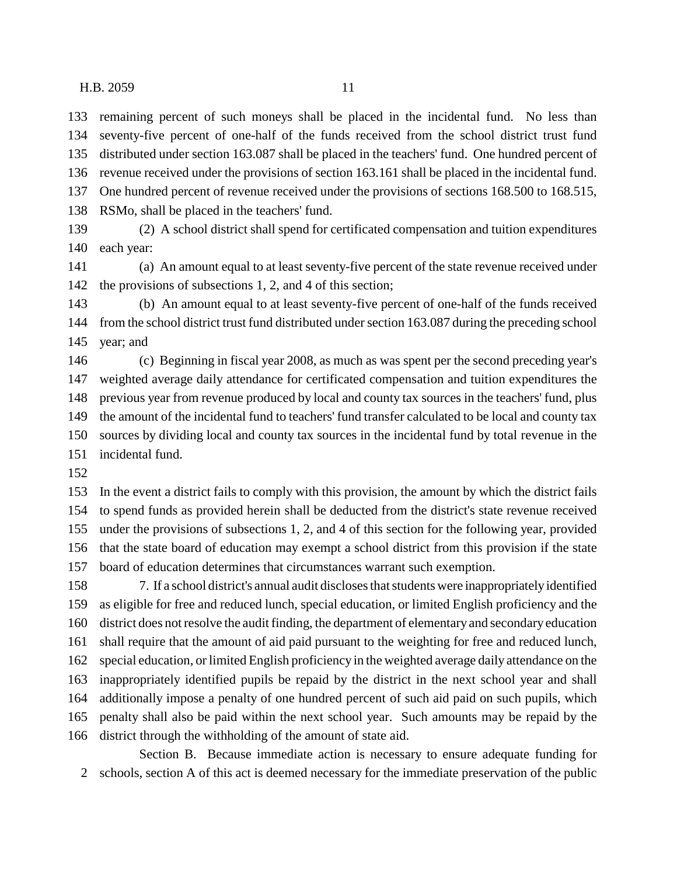remaining percent of such moneys shall be placed in the incidental fund. No less than seventy-five percent of one-half of the funds received from the school district trust fund distributed under section 163.087 shall be placed in the teachers' fund. One hundred percent of revenue received under the provisions of section 163.161 shall be placed in the incidental fund. One hundred percent of revenue received under the provisions of sections 168.500 to 168.515, RSMo, shall be placed in the teachers' fund.

 (2) A school district shall spend for certificated compensation and tuition expenditures each year:

 (a) An amount equal to at least seventy-five percent of the state revenue received under the provisions of subsections 1, 2, and 4 of this section;

 (b) An amount equal to at least seventy-five percent of one-half of the funds received from the school district trust fund distributed under section 163.087 during the preceding school year; and

 (c) Beginning in fiscal year 2008, as much as was spent per the second preceding year's weighted average daily attendance for certificated compensation and tuition expenditures the previous year from revenue produced by local and county tax sources in the teachers' fund, plus the amount of the incidental fund to teachers' fund transfer calculated to be local and county tax sources by dividing local and county tax sources in the incidental fund by total revenue in the incidental fund.

 In the event a district fails to comply with this provision, the amount by which the district fails to spend funds as provided herein shall be deducted from the district's state revenue received under the provisions of subsections 1, 2, and 4 of this section for the following year, provided that the state board of education may exempt a school district from this provision if the state board of education determines that circumstances warrant such exemption.

 7. If a school district's annual audit discloses that students were inappropriately identified as eligible for free and reduced lunch, special education, or limited English proficiency and the district does not resolve the audit finding, the department of elementary and secondary education shall require that the amount of aid paid pursuant to the weighting for free and reduced lunch, special education, or limited English proficiency in the weighted average daily attendance on the inappropriately identified pupils be repaid by the district in the next school year and shall additionally impose a penalty of one hundred percent of such aid paid on such pupils, which penalty shall also be paid within the next school year. Such amounts may be repaid by the district through the withholding of the amount of state aid.

Section B. Because immediate action is necessary to ensure adequate funding for schools, section A of this act is deemed necessary for the immediate preservation of the public